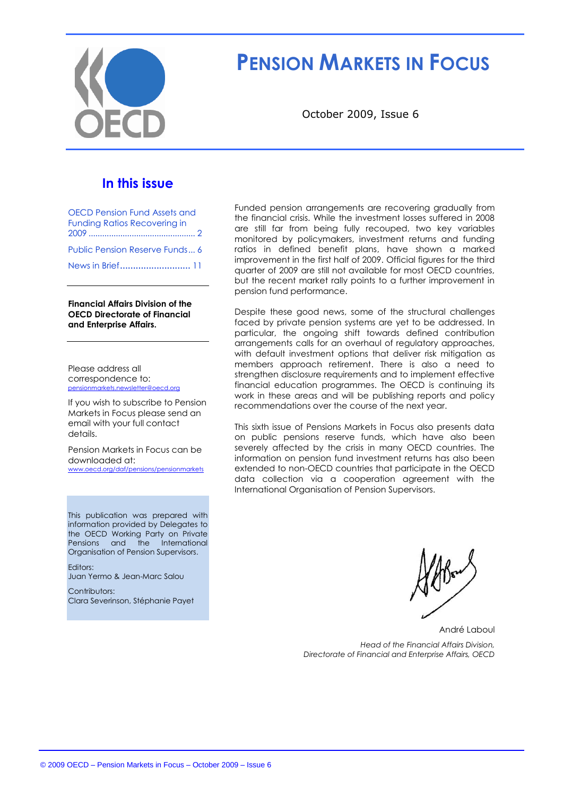

# **PENSION MARKETS IN FOCUS**

October 2009, Issue 6

## **In this issue**

| <b>OECD Pension Fund Assets and</b><br><b>Funding Ratios Recovering in</b> |
|----------------------------------------------------------------------------|
|                                                                            |
| Public Pension Reserve Funds 6                                             |
| News in Brief 11                                                           |

**Financial Affairs Division of the OECD Directorate of Financial and Enterprise Affairs.**

Please address all correspondence to: [pensionmarkets.newsletter@oecd.org](mailto:pensionsmarkets.newsletter@oecd.org)

If you wish to subscribe to Pension Markets in Focus please send an email with your full contact details.

Pension Markets in Focus can be downloaded at: [www.oecd.org/daf/pensions/pensionmarkets](http://www.oecd.org/daf/pensions/pensionmarkets)

This publication was prepared with information provided by Delegates to the OECD Working Party on Private Pensions and the International Organisation of Pension Supervisors.

Editors: Juan Yermo & Jean-Marc Salou

Contributors: Clara Severinson, Stéphanie Payet Funded pension arrangements are recovering gradually from the financial crisis. While the investment losses suffered in 2008 are still far from being fully recouped, two key variables monitored by policymakers, investment returns and funding ratios in defined benefit plans, have shown a marked improvement in the first half of 2009. Official figures for the third quarter of 2009 are still not available for most OECD countries, but the recent market rally points to a further improvement in pension fund performance.

Despite these good news, some of the structural challenges faced by private pension systems are yet to be addressed. In particular, the ongoing shift towards defined contribution arrangements calls for an overhaul of regulatory approaches, with default investment options that deliver risk mitigation as members approach retirement. There is also a need to strengthen disclosure requirements and to implement effective financial education programmes. The OECD is continuing its work in these areas and will be publishing reports and policy recommendations over the course of the next year.

This sixth issue of Pensions Markets in Focus also presents data on public pensions reserve funds, which have also been severely affected by the crisis in many OECD countries. The information on pension fund investment returns has also been extended to non-OECD countries that participate in the OECD data collection via a cooperation agreement with the International Organisation of Pension Supervisors.

André Laboul

*Head of the Financial Affairs Division, Directorate of Financial and Enterprise Affairs, OECD*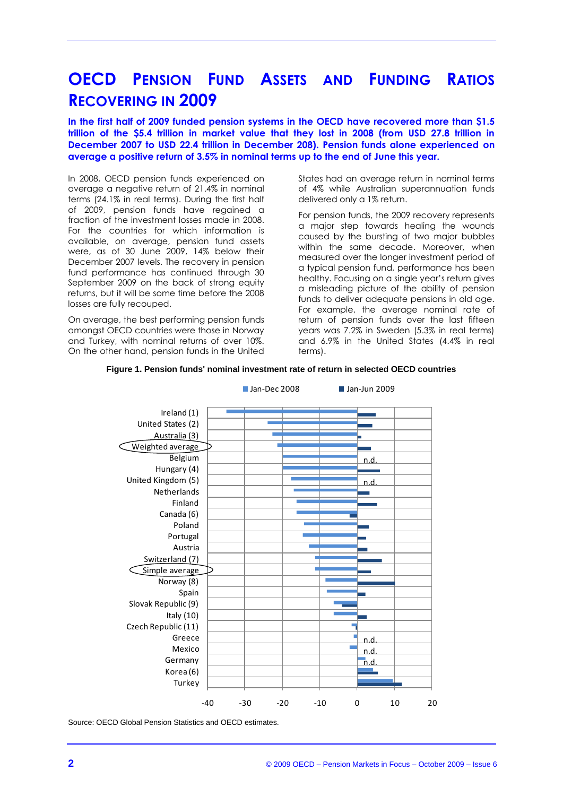## **OECD PENSION FUND ASSETS AND FUNDING RATIOS RECOVERING IN 2009**

**In the first half of 2009 funded pension systems in the OECD have recovered more than \$1.5 trillion of the \$5.4 trillion in market value that they lost in 2008 (from USD 27.8 trillion in December 2007 to USD 22.4 trillion in December 208). Pension funds alone experienced on average a positive return of 3.5% in nominal terms up to the end of June this year.**

In 2008, OECD pension funds experienced on average a negative return of 21.4% in nominal terms (24.1% in real terms). During the first half of 2009, pension funds have regained a fraction of the investment losses made in 2008. For the countries for which information is available, on average, pension fund assets were, as of 30 June 2009, 14% below their December 2007 levels. The recovery in pension fund performance has continued through 30 September 2009 on the back of strong equity returns, but it will be some time before the 2008 losses are fully recouped.

On average, the best performing pension funds amongst OECD countries were those in Norway and Turkey, with nominal returns of over 10%. On the other hand, pension funds in the United

States had an average return in nominal terms of 4% while Australian superannuation funds delivered only a 1% return.

For pension funds, the 2009 recovery represents a major step towards healing the wounds caused by the bursting of two major bubbles within the same decade. Moreover, when measured over the longer investment period of a typical pension fund, performance has been healthy. Focusing on a single year"s return gives a misleading picture of the ability of pension funds to deliver adequate pensions in old age. For example, the average nominal rate of return of pension funds over the last fifteen years was 7.2% in Sweden (5.3% in real terms) and 6.9% in the United States (4.4% in real terms).





Source: OECD Global Pension Statistics and OECD estimates.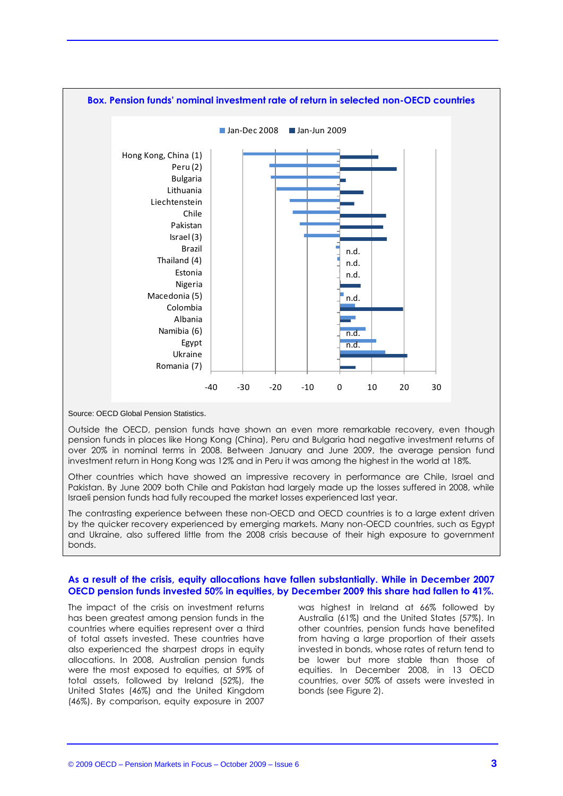

Source: OECD Global Pension Statistics.

Outside the OECD, pension funds have shown an even more remarkable recovery, even though pension funds in places like Hong Kong (China), Peru and Bulgaria had negative investment returns of over 20% in nominal terms in 2008. Between January and June 2009, the average pension fund investment return in Hong Kong was 12% and in Peru it was among the highest in the world at 18%.

Other countries which have showed an impressive recovery in performance are Chile, Israel and Pakistan. By June 2009 both Chile and Pakistan had largely made up the losses suffered in 2008, while Israeli pension funds had fully recouped the market losses experienced last year.

The contrasting experience between these non-OECD and OECD countries is to a large extent driven by the quicker recovery experienced by emerging markets. Many non-OECD countries, such as Egypt and Ukraine, also suffered little from the 2008 crisis because of their high exposure to government bonds.

#### **As a result of the crisis, equity allocations have fallen substantially. While in December 2007 OECD pension funds invested 50% in equities, by December 2009 this share had fallen to 41%.**

The impact of the crisis on investment returns has been greatest among pension funds in the countries where equities represent over a third of total assets invested. These countries have also experienced the sharpest drops in equity allocations. In 2008, Australian pension funds were the most exposed to equities, at 59% of total assets, followed by Ireland (52%), the United States (46%) and the United Kingdom (46%). By comparison, equity exposure in 2007

was highest in Ireland at 66% followed by Australia (61%) and the United States (57%). In other countries, pension funds have benefited from having a large proportion of their assets invested in bonds, whose rates of return tend to be lower but more stable than those of equities. In December 2008, in 13 OECD countries, over 50% of assets were invested in bonds (see Figure 2).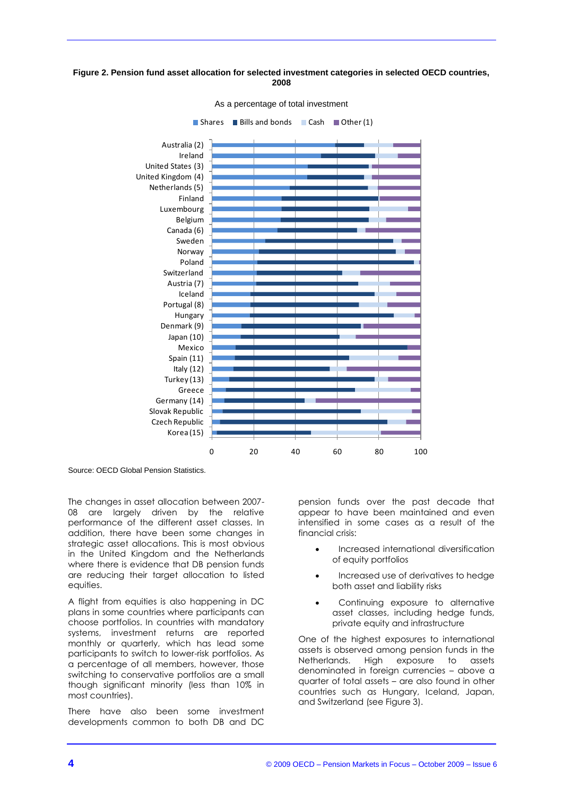#### **Figure 2. Pension fund asset allocation for selected investment categories in selected OECD countries, 2008**



Source: OECD Global Pension Statistics.

The changes in asset allocation between 2007- 08 are largely driven by the relative performance of the different asset classes. In addition, there have been some changes in strategic asset allocations. This is most obvious in the United Kingdom and the Netherlands where there is evidence that DB pension funds are reducing their target allocation to listed equities.

A flight from equities is also happening in DC plans in some countries where participants can choose portfolios. In countries with mandatory systems, investment returns are reported monthly or quarterly, which has lead some participants to switch to lower-risk portfolios. As a percentage of all members, however, those switching to conservative portfolios are a small though significant minority (less than 10% in most countries).

There have also been some investment developments common to both DB and DC

pension funds over the past decade that appear to have been maintained and even intensified in some cases as a result of the financial crisis:

- Increased international diversification of equity portfolios
- Increased use of derivatives to hedge both asset and liability risks
- Continuing exposure to alternative asset classes, including hedge funds, private equity and infrastructure

One of the highest exposures to international assets is observed among pension funds in the Netherlands. High exposure to assets denominated in foreign currencies – above a quarter of total assets – are also found in other countries such as Hungary, Iceland, Japan, and Switzerland (see Figure 3).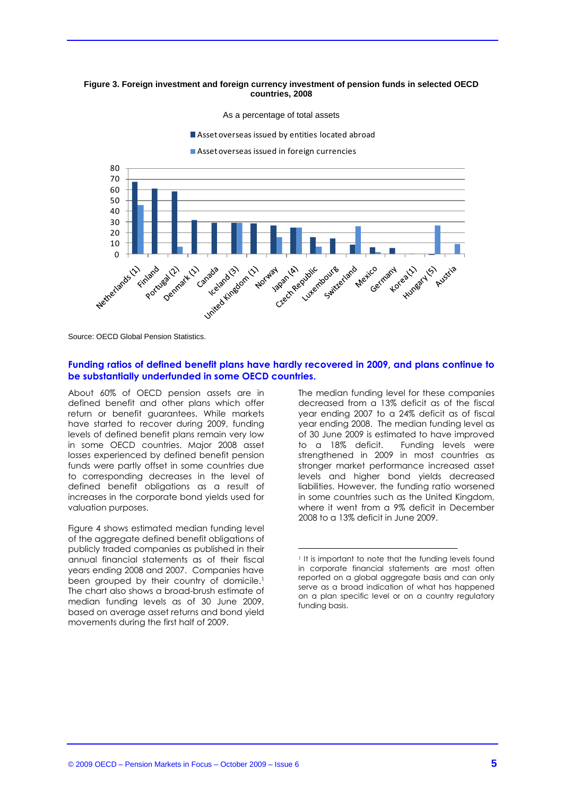#### **Figure 3. Foreign investment and foreign currency investment of pension funds in selected OECD countries, 2008**

As a percentage of total assets

Asset overseas issued by entities located abroad

Asset overseas issued in foreign currencies



Source: OECD Global Pension Statistics.

#### **Funding ratios of defined benefit plans have hardly recovered in 2009, and plans continue to be substantially underfunded in some OECD countries.**

About 60% of OECD pension assets are in defined benefit and other plans which offer return or benefit guarantees. While markets have started to recover during 2009, funding levels of defined benefit plans remain very low in some OECD countries. Major 2008 asset losses experienced by defined benefit pension funds were partly offset in some countries due to corresponding decreases in the level of defined benefit obligations as a result of increases in the corporate bond yields used for valuation purposes.

Figure 4 shows estimated median funding level of the aggregate defined benefit obligations of publicly traded companies as published in their annual financial statements as of their fiscal years ending 2008 and 2007. Companies have been grouped by their country of domicile.<sup>1</sup> The chart also shows a broad-brush estimate of median funding levels as of 30 June 2009, based on average asset returns and bond yield movements during the first half of 2009.

The median funding level for these companies decreased from a 13% deficit as of the fiscal year ending 2007 to a 24% deficit as of fiscal year ending 2008. The median funding level as of 30 June 2009 is estimated to have improved to a 18% deficit. Funding levels were strengthened in 2009 in most countries as stronger market performance increased asset levels and higher bond yields decreased liabilities. However, the funding ratio worsened in some countries such as the United Kingdom, where it went from a 9% deficit in December 2008 to a 13% deficit in June 2009.

<sup>&</sup>lt;sup>1</sup> It is important to note that the funding levels found in corporate financial statements are most often reported on a global aggregate basis and can only serve as a broad indication of what has happened on a plan specific level or on a country regulatory funding basis.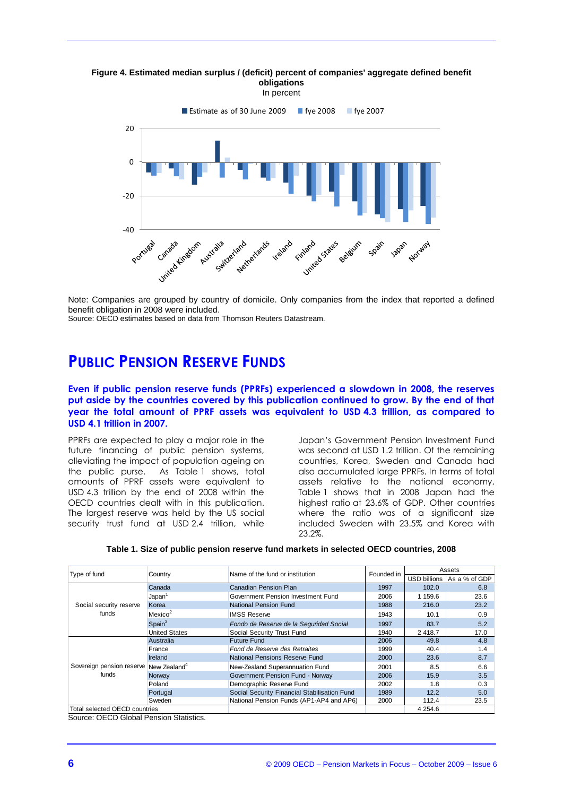**Figure 4. Estimated median surplus / (deficit) percent of companies' aggregate defined benefit obligations**





Note: Companies are grouped by country of domicile. Only companies from the index that reported a defined benefit obligation in 2008 were included.

Source: OECD estimates based on data from Thomson Reuters Datastream.

## **PUBLIC PENSION RESERVE FUNDS**

**Even if public pension reserve funds (PPRFs) experienced a slowdown in 2008, the reserves put aside by the countries covered by this publication continued to grow. By the end of that year the total amount of PPRF assets was equivalent to USD 4.3 trillion, as compared to USD 4.1 trillion in 2007.**

PPRFs are expected to play a major role in the future financing of public pension systems, alleviating the impact of population ageing on the public purse. As Table 1 shows, total amounts of PPRF assets were equivalent to USD 4.3 trillion by the end of 2008 within the OECD countries dealt with in this publication. The largest reserve was held by the US social security trust fund at USD 2.4 trillion, while

Japan"s Government Pension Investment Fund was second at USD 1.2 trillion. Of the remaining countries, Korea, Sweden and Canada had also accumulated large PPRFs. In terms of total assets relative to the national economy, Table 1 shows that in 2008 Japan had the highest ratio at 23.6% of GDP. Other countries where the ratio was of a significant size included Sweden with 23.5% and Korea with 23.2%.

| Type of fund                                                | Country              | Name of the fund or institution              | Founded in | Assets       |               |
|-------------------------------------------------------------|----------------------|----------------------------------------------|------------|--------------|---------------|
|                                                             |                      |                                              |            | USD billions | As a % of GDP |
| Social security reserve<br>funds                            | Canada               | Canadian Pension Plan                        | 1997       | 102.0        | 6.8           |
|                                                             | Japan <sup>1</sup>   | Government Pension Investment Fund           | 2006       | 1 159.6      | 23.6          |
|                                                             | Korea                | National Pension Fund                        | 1988       | 216.0        | 23.2          |
|                                                             | Mexico <sup>2</sup>  | <b>IMSS Reserve</b>                          | 1943       | 10.1         | 0.9           |
|                                                             | Span <sup>3</sup>    | Fondo de Reserva de la Seguridad Social      | 1997       | 83.7         | 5.2           |
|                                                             | <b>United States</b> | Social Security Trust Fund                   | 1940       | 2418.7       | 17.0          |
| Sovereign pension reserve New Zealand <sup>4</sup><br>funds | Australia            | <b>Future Fund</b>                           | 2006       | 49.8         | 4.8           |
|                                                             | France               | Fond de Reserve des Retraites                | 1999       | 40.4         | 1.4           |
|                                                             | Ireland              | National Pensions Reserve Fund               | 2000       | 23.6         | 8.7           |
|                                                             |                      | New-Zealand Superannuation Fund              | 2001       | 8.5          | 6.6           |
|                                                             | Norway               | Government Pension Fund - Norway             | 2006       | 15.9         | 3.5           |
|                                                             | Poland               | Demographic Reserve Fund                     | 2002       | 1.8          | 0.3           |
|                                                             | Portugal             | Social Security Financial Stabilisation Fund | 1989       | 12.2         | 5.0           |
|                                                             | Sweden               | National Pension Funds (AP1-AP4 and AP6)     | 2000       | 112.4        | 23.5          |
| Total selected OECD countries                               |                      |                                              |            | 4 2 5 4 . 6  |               |

Source: OECD Global Pension Statistics.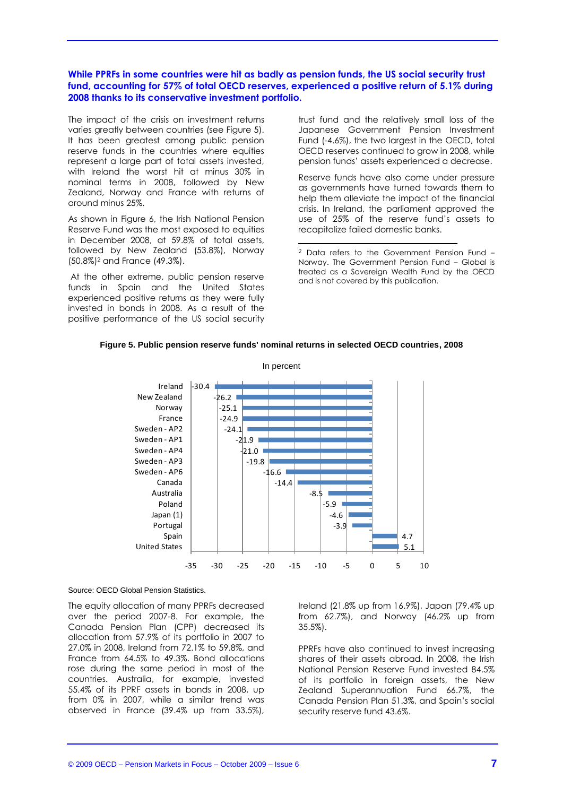#### **While PPRFs in some countries were hit as badly as pension funds, the US social security trust fund, accounting for 57% of total OECD reserves, experienced a positive return of 5.1% during 2008 thanks to its conservative investment portfolio.**

The impact of the crisis on investment returns varies greatly between countries (see Figure 5). It has been greatest among public pension reserve funds in the countries where equities represent a large part of total assets invested, with Ireland the worst hit at minus 30% in nominal terms in 2008, followed by New Zealand, Norway and France with returns of around minus 25%.

As shown in Figure 6, the Irish National Pension Reserve Fund was the most exposed to equities in December 2008, at 59.8% of total assets, followed by New Zealand (53.8%), Norway (50.8%)<sup>2</sup> and France (49.3%).

At the other extreme, public pension reserve funds in Spain and the United States experienced positive returns as they were fully invested in bonds in 2008. As a result of the positive performance of the US social security trust fund and the relatively small loss of the Japanese Government Pension Investment Fund (-4.6%), the two largest in the OECD, total OECD reserves continued to grow in 2008, while pension funds" assets experienced a decrease.

Reserve funds have also come under pressure as governments have turned towards them to help them alleviate the impact of the financial crisis. In Ireland, the parliament approved the use of 25% of the reserve fund"s assets to recapitalize failed domestic banks.

<sup>2</sup> Data refers to the Government Pension Fund – Norway. The Government Pension Fund – Global is treated as a Sovereign Wealth Fund by the OECD and is not covered by this publication.

#### **Figure 5. Public pension reserve funds' nominal returns in selected OECD countries, 2008**



Source: OECD Global Pension Statistics.

The equity allocation of many PPRFs decreased over the period 2007-8. For example, the Canada Pension Plan (CPP) decreased its allocation from 57.9% of its portfolio in 2007 to 27.0% in 2008, Ireland from 72.1% to 59.8%, and France from 64.5% to 49.3%. Bond allocations rose during the same period in most of the countries. Australia, for example, invested 55.4% of its PPRF assets in bonds in 2008, up from 0% in 2007, while a similar trend was observed in France (39.4% up from 33.5%),

Ireland (21.8% up from 16.9%), Japan (79.4% up from 62.7%), and Norway (46.2% up from 35.5%).

PPRFs have also continued to invest increasing shares of their assets abroad. In 2008, the Irish National Pension Reserve Fund invested 84.5% of its portfolio in foreign assets, the New Zealand Superannuation Fund 66.7%, the Canada Pension Plan 51.3%, and Spain"s social security reserve fund 43.6%.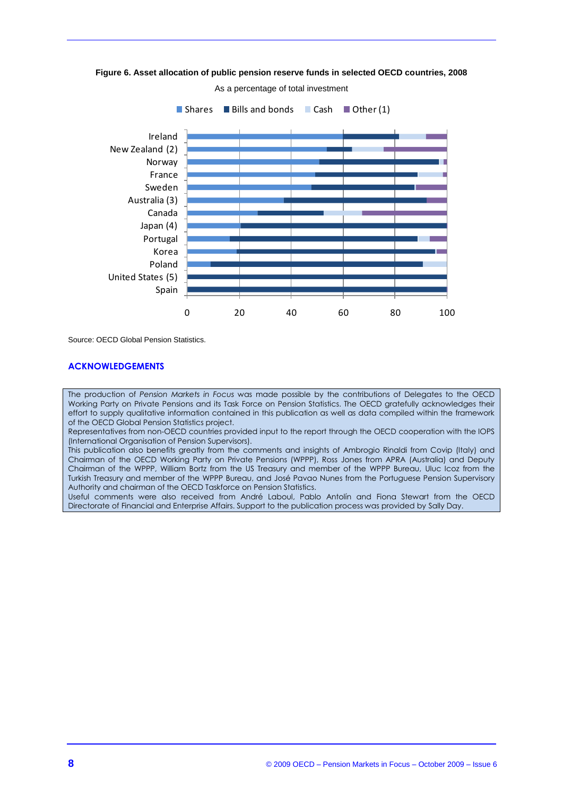

**Figure 6. Asset allocation of public pension reserve funds in selected OECD countries, 2008**

Source: OECD Global Pension Statistics.

#### **ACKNOWLEDGEMENTS**

The production of *Pension Markets in Focus* was made possible by the contributions of Delegates to the OECD Working Party on Private Pensions and its Task Force on Pension Statistics. The OECD gratefully acknowledges their effort to supply qualitative information contained in this publication as well as data compiled within the framework of the OECD Global Pension Statistics project.

Representatives from non-OECD countries provided input to the report through the OECD cooperation with the IOPS (International Organisation of Pension Supervisors).

This publication also benefits greatly from the comments and insights of Ambrogio Rinaldi from Covip (Italy) and Chairman of the OECD Working Party on Private Pensions (WPPP), Ross Jones from APRA (Australia) and Deputy Chairman of the WPPP, William Bortz from the US Treasury and member of the WPPP Bureau, Uluc Icoz from the Turkish Treasury and member of the WPPP Bureau, and José Pavao Nunes from the Portuguese Pension Supervisory Authority and chairman of the OECD Taskforce on Pension Statistics.

Useful comments were also received from André Laboul, Pablo Antolín and Fiona Stewart from the OECD Directorate of Financial and Enterprise Affairs. Support to the publication process was provided by Sally Day.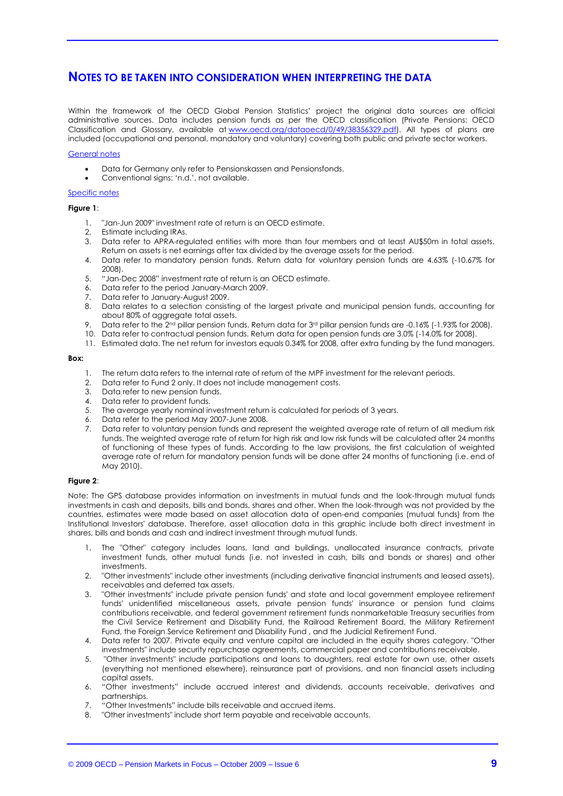## **NOTES TO BE TAKEN INTO CONSIDERATION WHEN INTERPRETING THE DATA**

Within the framework of the OECD Global Pension Statistics" project the original data sources are official administrative sources. Data includes pension funds as per the OECD classification (Private Pensions: OECD Classification and Glossary, available at [www.oecd.org/dataoecd/0/49/38356329.pdf\)](http://www.oecd.org/dataoecd/0/49/38356329.pdf). All types of plans are included (occupational and personal, mandatory and voluntary) covering both public and private sector workers.

#### General notes

- Data for Germany only refer to Pensionskassen and Pensionsfonds.
- Conventional signs: "n.d.", not available.

#### Specific notes

#### **Figure 1**:

- 1. "Jan-Jun 2009" investment rate of return is an OECD estimate.
- 2. Estimate including IRAs.
- 3. Data refer to APRA-regulated entities with more than four members and at least AU\$50m in total assets. Return on assets is net earnings after tax divided by the average assets for the period.
- 4. Data refer to mandatory pension funds. Return data for voluntary pension funds are 4.63% (-10.67% for 2008).
- 5. "Jan-Dec 2008" investment rate of return is an OECD estimate.
- 6. Data refer to the period January-March 2009.
- 7. Data refer to January-August 2009.
- 8. Data relates to a selection consisting of the largest private and municipal pension funds, accounting for about 80% of aggregate total assets.
- 9. Data refer to the 2<sup>nd</sup> pillar pension funds. Return data for 3<sup>rd</sup> pillar pension funds are -0.16% (-1.93% for 2008).
- 10. Data refer to contractual pension funds. Return data for open pension funds are 3.0% (-14.0% for 2008).
- 11. Estimated data. The net return for investors equals 0.34% for 2008, after extra funding by the fund managers.

#### **Box:**

- 1. The return data refers to the internal rate of return of the MPF investment for the relevant periods.
- 2. Data refer to Fund 2 only. It does not include management costs.
- 3. Data refer to new pension funds.
- 4. Data refer to provident funds.
- 5. The average yearly nominal investment return is calculated for periods of 3 years.
- 6. Data refer to the period May 2007-June 2008.
- 7. Data refer to voluntary pension funds and represent the weighted average rate of return of all medium risk funds. The weighted average rate of return for high risk and low risk funds will be calculated after 24 months of functioning of these types of funds. According to the law provisions, the first calculation of weighted average rate of return for mandatory pension funds will be done after 24 months of functioning (i.e. end of May 2010).

#### **Figure 2**:

Note: The GPS database provides information on investments in mutual funds and the look-through mutual funds investments in cash and deposits, bills and bonds, shares and other. When the look-through was not provided by the countries, estimates were made based on asset allocation data of open-end companies (mutual funds) from the Institutional Investors' database. Therefore, asset allocation data in this graphic include both direct investment in shares, bills and bonds and cash and indirect investment through mutual funds.

- 1. The "Other" category includes loans, land and buildings, unallocated insurance contracts, private investment funds, other mutual funds (i.e. not invested in cash, bills and bonds or shares) and other investments.
- 2. "Other investments" include other investments (including derivative financial instruments and leased assets), receivables and deferred tax assets.
- 3. "Other investments" include private pension funds' and state and local government employee retirement funds' unidentified miscellaneous assets, private pension funds' insurance or pension fund claims contributions receivable, and federal government retirement funds nonmarketable Treasury securities from the Civil Service Retirement and Disability Fund, the Railroad Retirement Board, the Military Retirement Fund, the Foreign Service Retirement and Disability Fund , and the Judicial Retirement Fund.
- 4. Data refer to 2007. Private equity and venture capital are included in the equity shares category. "Other investments" include security repurchase agreements, commercial paper and contributions receivable.
- 5. "Other investments" include participations and loans to daughters, real estate for own use, other assets (everything not mentioned elsewhere), reinsurance part of provisions, and non financial assets including capital assets.
- 6. "Other investments" include accrued interest and dividends, accounts receivable, derivatives and partnerships.
- 7. "Other Investments" include bills receivable and accrued items.
- 8. "Other investments" include short term payable and receivable accounts.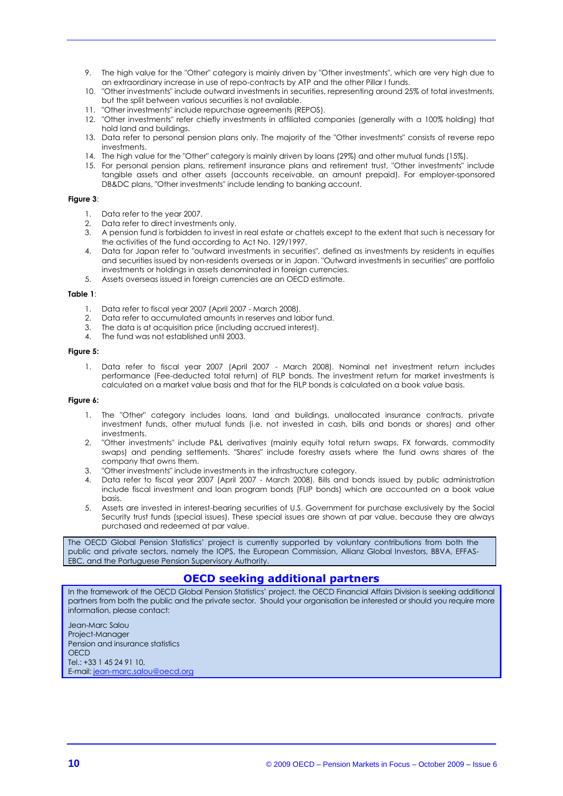- 9. The high value for the "Other" category is mainly driven by "Other investments", which are very high due to an extraordinary increase in use of repo-contracts by ATP and the other Pillar I funds.
- 10. "Other investments" include outward investments in securities, representing around 25% of total investments, but the split between various securities is not available.
- 11. "Other investments" include repurchase agreements (REPOS).
- 12. "Other investments" refer chiefly investments in affiliated companies (generally with a 100% holding) that hold land and buildings.
- 13. Data refer to personal pension plans only. The majority of the "Other investments" consists of reverse repo investments.
- 14. The high value for the "Other" category is mainly driven by loans (29%) and other mutual funds (15%).
- 15. For personal pension plans, retirement insurance plans and retirement trust, "Other investments" include tangible assets and other assets (accounts receivable, an amount prepaid). For employer-sponsored DB&DC plans, "Other investments" include lending to banking account.

#### **Figure 3**:

- 1. Data refer to the year 2007.
- 2. Data refer to direct investments only.
- 3. A pension fund is forbidden to invest in real estate or chattels except to the extent that such is necessary for the activities of the fund according to Act No. 129/1997.
- 4. Data for Japan refer to "outward investments in securities", defined as investments by residents in equities and securities issued by non-residents overseas or in Japan. "Outward investments in securities" are portfolio investments or holdings in assets denominated in foreign currencies.
- 5. Assets overseas issued in foreign currencies are an OECD estimate.

#### **Table 1**:

- 1. Data refer to fiscal year 2007 (April 2007 March 2008).
- 2. Data refer to accumulated amounts in reserves and labor fund.
- 3. The data is at acquisition price (including accrued interest).
- 4. The fund was not established until 2003.

#### **Figure 5:**

1. Data refer to fiscal year 2007 (April 2007 - March 2008). Nominal net investment return includes performance (Fee-deducted total return) of FILP bonds. The investment return for market investments is calculated on a market value basis and that for the FILP bonds is calculated on a book value basis.

#### **Figure 6:**

- 1. The "Other" category includes loans, land and buildings, unallocated insurance contracts, private investment funds, other mutual funds (i.e. not invested in cash, bills and bonds or shares) and other investments.
- 2. "Other investments" include P&L derivatives (mainly equity total return swaps, FX forwards, commodity swaps) and pending settlements. "Shares" include forestry assets where the fund owns shares of the company that owns them.
- 3. "Other investments" include investments in the infrastructure category.
- 4. Data refer to fiscal year 2007 (April 2007 March 2008). Bills and bonds issued by public administration include fiscal investment and loan program bonds (FLIP bonds) which are accounted on a book value basis.
- 5. Assets are invested in interest-bearing securities of U.S. Government for purchase exclusively by the Social Security trust funds (special issues). These special issues are shown at par value, because they are always purchased and redeemed at par value.

The OECD Global Pension Statistics" project is currently supported by voluntary contributions from both the public and private sectors, namely the IOPS, the European Commission, Allianz Global Investors, BBVA, EFFAS-EBC, and the Portuguese Pension Supervisory Authority.

### **OECD seeking additional partners**

In the framework of the OECD Global Pension Statistics" project, the OECD Financial Affairs Division is seeking additional partners from both the public and the private sector. Should your organisation be interested or should you require more information, please contact:

Jean-Marc Salou Project-Manager Pension and insurance statistics **OFCD** Tel.: +33 1 45 24 91 10, E-mail[: jean-marc.salou@oecd.org](mailto:jean-marc.salou@oecd.org)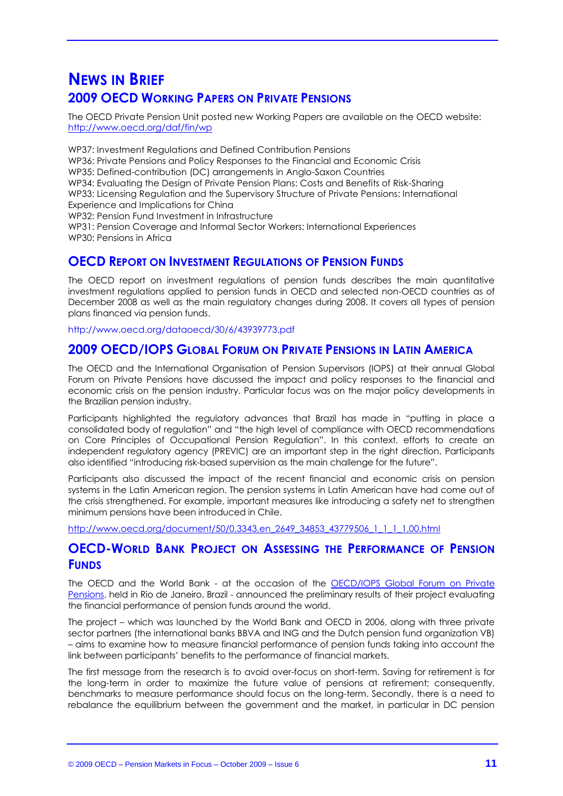## **NEWS IN BRIEF 2009 OECD WORKING PAPERS ON PRIVATE PENSIONS**

The OECD Private Pension Unit posted new Working Papers are available on the OECD website: http:/[/www.oecd.org/daf/fin/wp](http://www.oecd.org/daf/fin/wp) 

WP37: Investment Regulations and Defined Contribution Pensions

WP36: Private Pensions and Policy Responses to the Financial and Economic Crisis

WP35: Defined-contribution (DC) arrangements in Anglo-Saxon Countries

WP34: Evaluating the Design of Private Pension Plans: Costs and Benefits of Risk-Sharing WP33: Licensing Regulation and the Supervisory Structure of Private Pensions: International

Experience and Implications for China

WP32: Pension Fund Investment in Infrastructure

WP31: Pension Coverage and Informal Sector Workers: International Experiences WP30: Pensions in Africa

## **OECD REPORT ON INVESTMENT REGULATIONS OF PENSION FUNDS**

The OECD report on investment regulations of pension funds describes the main quantitative investment regulations applied to pension funds in OECD and selected non-OECD countries as of December 2008 as well as the main regulatory changes during 2008. It covers all types of pension plans financed via pension funds.

<http://www.oecd.org/dataoecd/30/6/43939773.pdf>

## **2009 OECD/IOPS GLOBAL FORUM ON PRIVATE PENSIONS IN LATIN AMERICA**

The OECD and the International Organisation of Pension Supervisors (IOPS) at their annual Global Forum on Private Pensions have discussed the impact and policy responses to the financial and economic crisis on the pension industry. Particular focus was on the major policy developments in the Brazilian pension industry.

Participants highlighted the regulatory advances that Brazil has made in "putting in place a consolidated body of regulation" and "the high level of compliance with OECD recommendations on Core Principles of Occupational Pension Regulation". In this context, efforts to create an independent regulatory agency (PREVIC) are an important step in the right direction. Participants also identified "introducing risk-based supervision as the main challenge for the future".

Participants also discussed the impact of the recent financial and economic crisis on pension systems in the Latin American region. The pension systems in Latin American have had come out of the crisis strengthened. For example, important measures like introducing a safety net to strengthen minimum pensions have been introduced in Chile.

[http://www.oecd.org/document/50/0,3343,en\\_2649\\_34853\\_43779506\\_1\\_1\\_1\\_1,00.html](http://www.oecd.org/document/50/0,3343,en_2649_34853_43779506_1_1_1_1,00.html)

## **OECD-WORLD BANK PROJECT ON ASSESSING THE PERFORMANCE OF PENSION FUNDS**

The OECD and the World Bank - at the occasion of the [OECD/IOPS Global Forum on Private](http://www.oecd.org/document/50/0,3343,en_2649_34853_43779506_1_1_1_1,00.html)  [Pensions,](http://www.oecd.org/document/50/0,3343,en_2649_34853_43779506_1_1_1_1,00.html) held in Rio de Janeiro, Brazil - announced the preliminary results of their project evaluating the financial performance of pension funds around the world.

The project – which was launched by the World Bank and OECD in 2006, along with three private sector partners (the international banks BBVA and ING and the Dutch pension fund organization VB) – aims to examine how to measure financial performance of pension funds taking into account the link between participants" benefits to the performance of financial markets.

The first message from the research is to avoid over-focus on short-term. Saving for retirement is for the long-term in order to maximize the future value of pensions at retirement; consequently, benchmarks to measure performance should focus on the long-term. Secondly, there is a need to rebalance the equilibrium between the government and the market, in particular in DC pension